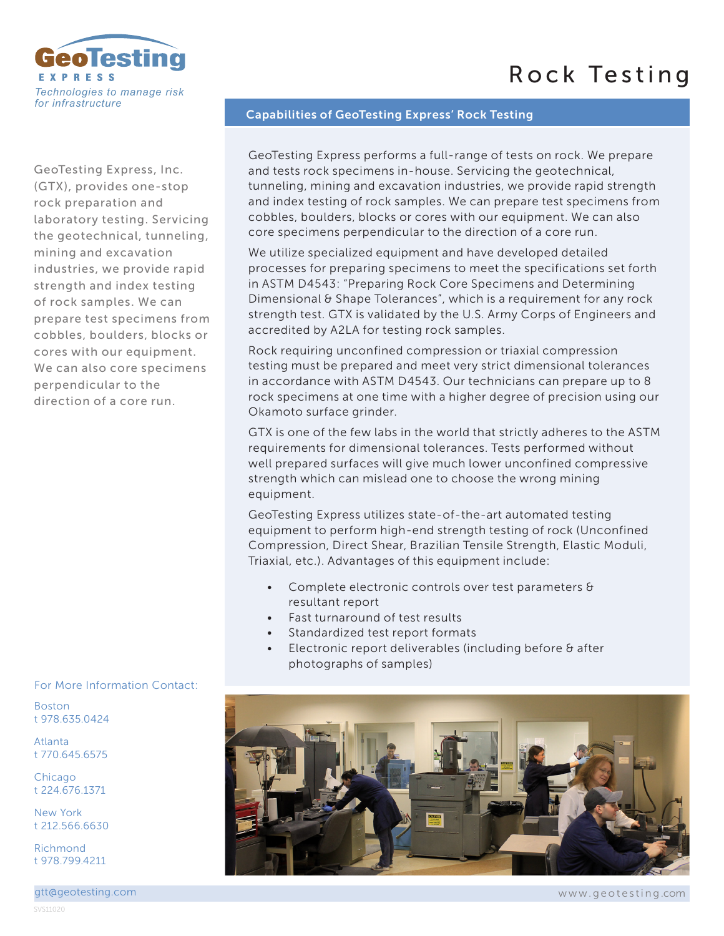## Rock Testing



GeoTesting Express, Inc. (GTX), provides one-stop rock preparation and laboratory testing. Servicing the geotechnical, tunneling, mining and excavation industries, we provide rapid strength and index testing of rock samples. We can prepare test specimens from cobbles, boulders, blocks or cores with our equipment. We can also core specimens perpendicular to the direction of a core run.

For More Information Contact:

Boston t 978.635.0424

Atlanta t 770.645.6575

**Chicago** t 224.676.1371

New York t 212.566.6630

Richmond t 978.799.4211

## Capabilities of GeoTesting Express' Rock Testing

GeoTesting Express performs a full-range of tests on rock. We prepare and tests rock specimens in-house. Servicing the geotechnical, tunneling, mining and excavation industries, we provide rapid strength and index testing of rock samples. We can prepare test specimens from cobbles, boulders, blocks or cores with our equipment. We can also core specimens perpendicular to the direction of a core run.

We utilize specialized equipment and have developed detailed processes for preparing specimens to meet the specifications set forth in ASTM D4543: "Preparing Rock Core Specimens and Determining Dimensional & Shape Tolerances", which is a requirement for any rock strength test. GTX is validated by the U.S. Army Corps of Engineers and accredited by A2LA for testing rock samples.

Rock requiring unconfined compression or triaxial compression testing must be prepared and meet very strict dimensional tolerances in accordance with ASTM D4543. Our technicians can prepare up to 8 rock specimens at one time with a higher degree of precision using our Okamoto surface grinder.

GTX is one of the few labs in the world that strictly adheres to the ASTM requirements for dimensional tolerances. Tests performed without well prepared surfaces will give much lower unconfined compressive strength which can mislead one to choose the wrong mining equipment.

GeoTesting Express utilizes state-of-the-art automated testing equipment to perform high-end strength testing of rock (Unconfined Compression, Direct Shear, Brazilian Tensile Strength, Elastic Moduli, Triaxial, etc.). Advantages of this equipment include:

- Complete electronic controls over test parameters & resultant report
- Fast turnaround of test results
- Standardized test report formats
- Electronic report deliverables (including before & after photographs of samples)



www.geotesting .com